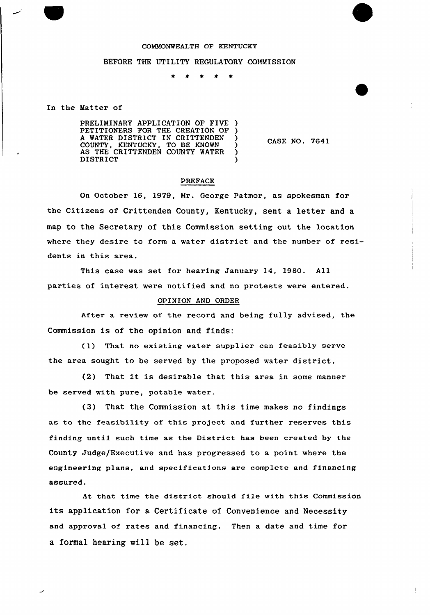## COMMONWEALTH OF KENTUCKY

## BEFORE THE UTILITY REGULATORY COMMISSION

t

In the Matter of

PRELIMINARY APPLICATION OF FIVE PETITIONERS FOR THE CREATION OF )<br>A WATER DISTRICT IN CRITTENDEN A WATER DISTRICT IN CRITTENDEN )<br>COUNTY, KENTUCKY, TO BE KNOWN ) COUNTY, KENTUCKY, TO BE KNOWN ) AS THE CRITTENDEN COUNTY WATER ) **DISTRICT** 

CASE NO. 7641

## PREFACE

On October 16, 1979, Mr. George Patmor, as spokesman for the Citizens of Crittenden County, Kentucky, sent a letter and a map to the Secretary of this Commission setting out the location where they desire to form a water district and the number of residents in this area.

This case was set for hearing January 14, 1980. All parties of interest were notified and no protests were entered.

## OPINION AND ORDER

After a review of the record and being fully advised, the Commission is of the opinion and finds:

(1) That no existing water supplier can feasibly serve the area sought to be served by the proposed water district.

(2) That it is desirable that this area in some manner be served with pure, potable water.

(3) That the Commission at this time makes no findings as to the feasibility of this project and further reserves this finding until such time as the District has been created by the County Judge/Executive and has progressed to a point where the engineering plane, and specifications are complete and financing assured.

At that time the district should file with this Commission its application for a Certificate of Convenience and Necessity and approval of rates and financing. Then a date and time for a formal hearing will be set.